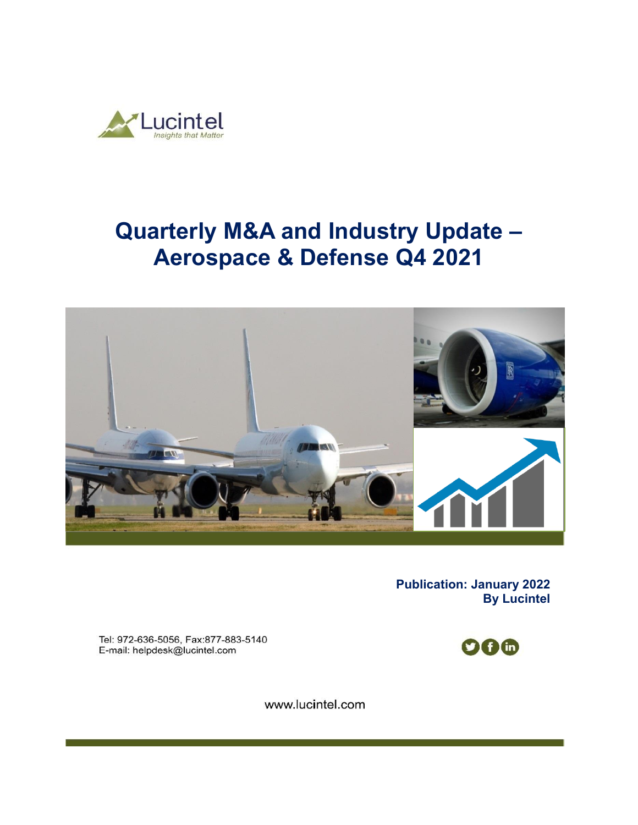

# **Quarterly M&A and Industry Update – Aerospace & Defense Q4 2021**



**Publication: January 2022 By Lucintel** 

Tel: 972-636-5056, Fax:877-883-5140 E-mail: helpdesk@lucintel.com



www.lucintel.com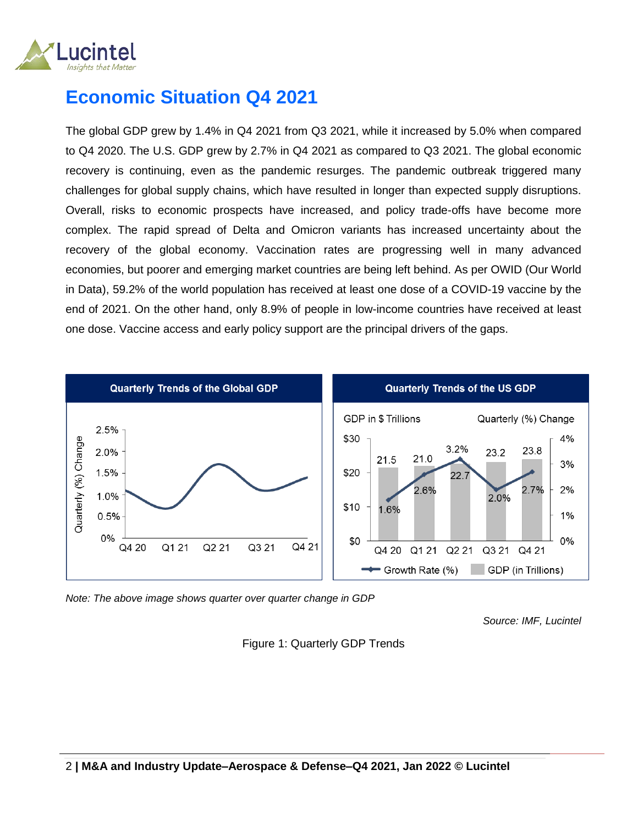

## **Economic Situation Q4 2021**

The global GDP grew by 1.4% in Q4 2021 from Q3 2021, while it increased by 5.0% when compared to Q4 2020. The U.S. GDP grew by 2.7% in Q4 2021 as compared to Q3 2021. The global economic recovery is continuing, even as the pandemic resurges. The pandemic outbreak triggered many challenges for global supply chains, which have resulted in longer than expected supply disruptions. Overall, risks to economic prospects have increased, and policy trade-offs have become more complex. The rapid spread of Delta and Omicron variants has increased uncertainty about the recovery of the global economy. Vaccination rates are progressing well in many advanced economies, but poorer and emerging market countries are being left behind. As per OWID (Our World in Data), 59.2% of the world population has received at least one dose of a COVID-19 vaccine by the end of 2021. On the other hand, only 8.9% of people in low-income countries have received at least one dose. Vaccine access and early policy support are the principal drivers of the gaps.



*Note: The above image shows quarter over quarter change in GDP* 

*Source: IMF, Lucintel*

Figure 1: Quarterly GDP Trends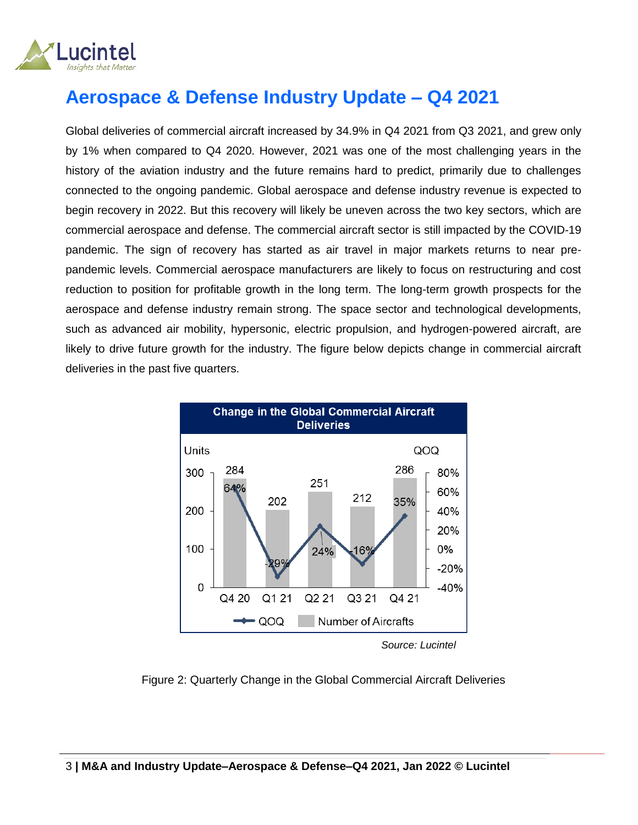

## **Aerospace & Defense Industry Update – Q4 2021**

Global deliveries of commercial aircraft increased by 34.9% in Q4 2021 from Q3 2021, and grew only by 1% when compared to Q4 2020. However, 2021 was one of the most challenging years in the history of the aviation industry and the future remains hard to predict, primarily due to challenges connected to the ongoing pandemic. Global aerospace and defense industry revenue is expected to begin recovery in 2022. But this recovery will likely be uneven across the two key sectors, which are commercial aerospace and defense. The commercial aircraft sector is still impacted by the COVID-19 pandemic. The sign of recovery has started as air travel in major markets returns to near prepandemic levels. Commercial aerospace manufacturers are likely to focus on restructuring and cost reduction to position for profitable growth in the long term. The long-term growth prospects for the aerospace and defense industry remain strong. The space sector and technological developments, such as advanced air mobility, hypersonic, electric propulsion, and hydrogen-powered aircraft, are likely to drive future growth for the industry. The figure below depicts change in commercial aircraft deliveries in the past five quarters.



*Source: Lucintel*

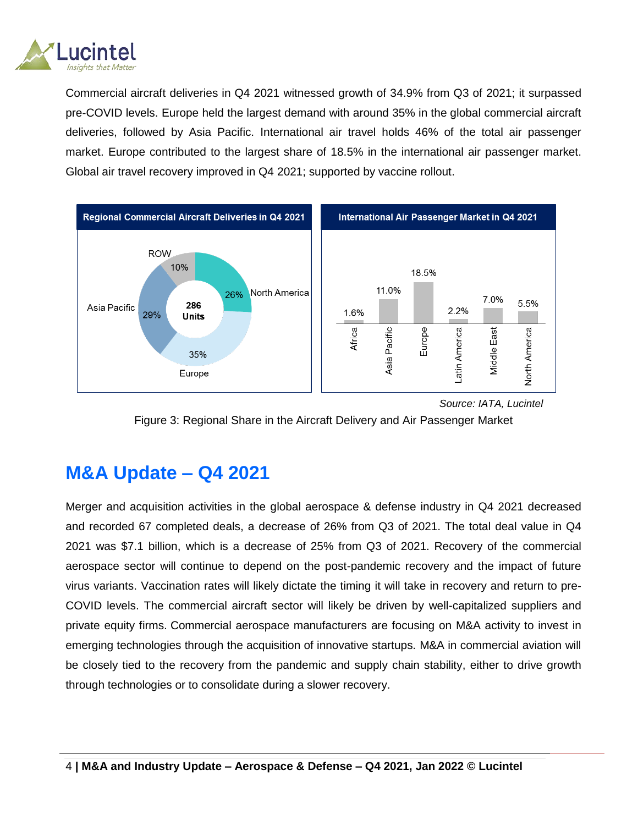

Commercial aircraft deliveries in Q4 2021 witnessed growth of 34.9% from Q3 of 2021; it surpassed pre-COVID levels. Europe held the largest demand with around 35% in the global commercial aircraft deliveries, followed by Asia Pacific. International air travel holds 46% of the total air passenger market. Europe contributed to the largest share of 18.5% in the international air passenger market. Global air travel recovery improved in Q4 2021; supported by vaccine rollout.





### **M&A Update – Q4 2021**

Merger and acquisition activities in the global aerospace & defense industry in Q4 2021 decreased and recorded 67 completed deals, a decrease of 26% from Q3 of 2021. The total deal value in Q4 2021 was \$7.1 billion, which is a decrease of 25% from Q3 of 2021. Recovery of the commercial aerospace sector will continue to depend on the post-pandemic recovery and the impact of future virus variants. Vaccination rates will likely dictate the timing it will take in recovery and return to pre-COVID levels. The commercial aircraft sector will likely be driven by well-capitalized suppliers and private equity firms. Commercial aerospace manufacturers are focusing on M&A activity to invest in emerging technologies through the acquisition of innovative startups. M&A in commercial aviation will be closely tied to the recovery from the pandemic and supply chain stability, either to drive growth through technologies or to consolidate during a slower recovery.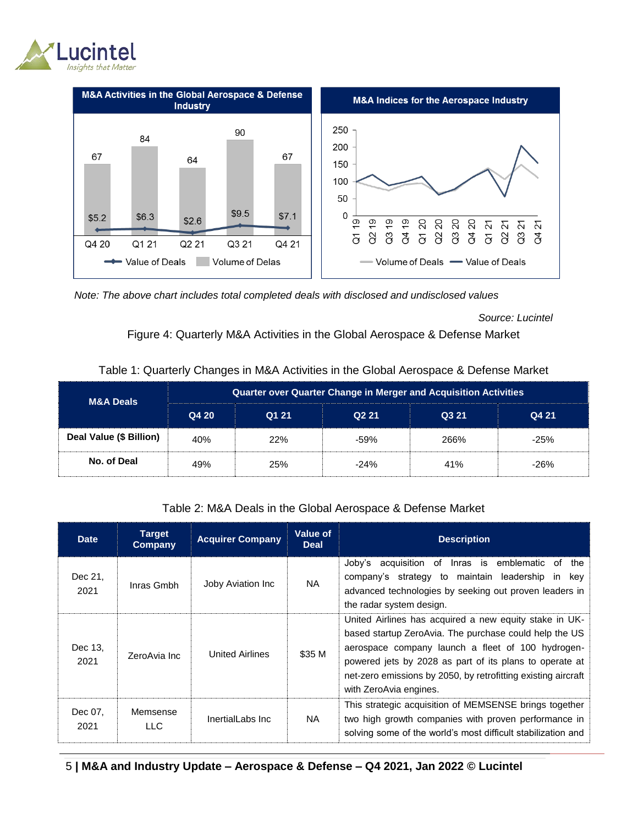



 *Note: The above chart includes total completed deals with disclosed and undisclosed values*

*Source: Lucintel*

#### Figure 4: Quarterly M&A Activities in the Global Aerospace & Defense Market

| <b>M&amp;A Deals</b>    | <b>Quarter over Quarter Change in Merger and Acquisition Activities</b> |            |                   |       |        |  |  |  |
|-------------------------|-------------------------------------------------------------------------|------------|-------------------|-------|--------|--|--|--|
|                         | Q4 20                                                                   | Q1 21      | Q <sub>2</sub> 21 | Q3 21 | Q4 21  |  |  |  |
| Deal Value (\$ Billion) | 40%                                                                     | <b>22%</b> | $-59%$            | 266%  | $-25%$ |  |  |  |
| No. of Deal             | 49%                                                                     | 25%        | $-24%$            | 41%   | $-26%$ |  |  |  |

#### Table 1: Quarterly Changes in M&A Activities in the Global Aerospace & Defense Market

#### Table 2: M&A Deals in the Global Aerospace & Defense Market

| <b>Date</b>     | Target<br>Company | <b>Acquirer Company</b> | Value of<br><b>Deal</b> | <b>Description</b>                                                                                                                                                                                                                                                                                                          |  |
|-----------------|-------------------|-------------------------|-------------------------|-----------------------------------------------------------------------------------------------------------------------------------------------------------------------------------------------------------------------------------------------------------------------------------------------------------------------------|--|
| Dec 21.<br>2021 | Inras Gmbh        | Joby Aviation Inc       | NA.                     | Joby's acquisition of Inras is emblematic of<br>the<br>company's strategy to maintain leadership in key<br>advanced technologies by seeking out proven leaders in<br>the radar system design.                                                                                                                               |  |
| Dec 13,<br>2021 | ZeroAvia Inc      | <b>United Airlines</b>  |                         | United Airlines has acquired a new equity stake in UK-<br>based startup ZeroAvia. The purchase could help the US<br>aerospace company launch a fleet of 100 hydrogen-<br>powered jets by 2028 as part of its plans to operate at<br>net-zero emissions by 2050, by retrofitting existing aircraft<br>with ZeroAvia engines. |  |
| Dec 07,<br>2021 | Memsense<br>LLC.  | InertialLabs Inc.       | NA.                     | This strategic acquisition of MEMSENSE brings together<br>two high growth companies with proven performance in<br>solving some of the world's most difficult stabilization and                                                                                                                                              |  |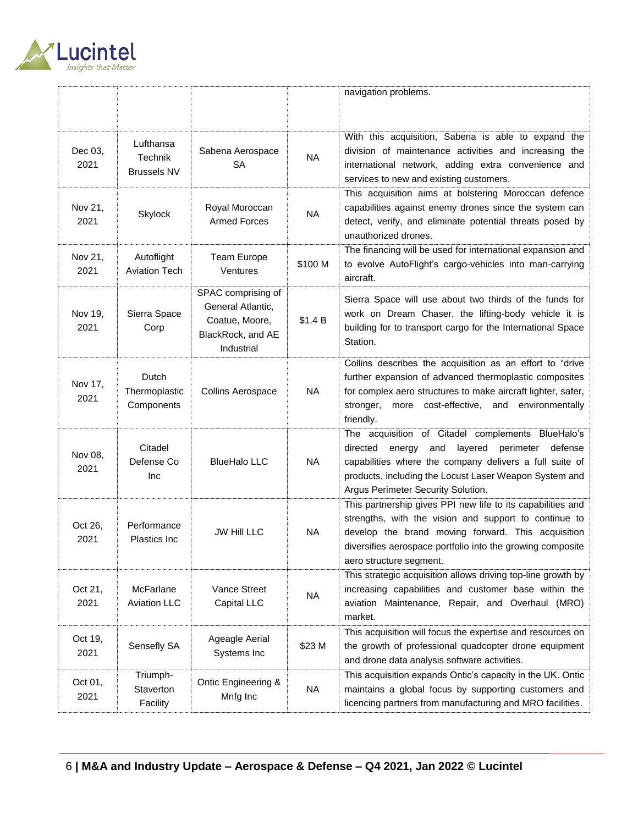

|                 |                                            |                                                                                              |           | navigation problems.                                                                                                                                                                                                                                                         |
|-----------------|--------------------------------------------|----------------------------------------------------------------------------------------------|-----------|------------------------------------------------------------------------------------------------------------------------------------------------------------------------------------------------------------------------------------------------------------------------------|
| Dec 03,<br>2021 | Lufthansa<br>Technik<br><b>Brussels NV</b> | Sabena Aerospace<br><b>SA</b>                                                                | <b>NA</b> | With this acquisition, Sabena is able to expand the<br>division of maintenance activities and increasing the<br>international network, adding extra convenience and<br>services to new and existing customers.                                                               |
| Nov 21,<br>2021 | Skylock                                    | Royal Moroccan<br><b>Armed Forces</b>                                                        | <b>NA</b> | This acquisition aims at bolstering Moroccan defence<br>capabilities against enemy drones since the system can<br>detect, verify, and eliminate potential threats posed by<br>unauthorized drones.                                                                           |
| Nov 21,<br>2021 | Autoflight<br><b>Aviation Tech</b>         | Team Europe<br>Ventures                                                                      | \$100 M   | The financing will be used for international expansion and<br>to evolve AutoFlight's cargo-vehicles into man-carrying<br>aircraft.                                                                                                                                           |
| Nov 19,<br>2021 | Sierra Space<br>Corp                       | SPAC comprising of<br>General Atlantic.<br>Coatue, Moore,<br>BlackRock, and AE<br>Industrial | \$1.4 B   | Sierra Space will use about two thirds of the funds for<br>work on Dream Chaser, the lifting-body vehicle it is<br>building for to transport cargo for the International Space<br>Station.                                                                                   |
| Nov 17,<br>2021 | Dutch<br>Thermoplastic<br>Components       | <b>Collins Aerospace</b>                                                                     | <b>NA</b> | Collins describes the acquisition as an effort to "drive<br>further expansion of advanced thermoplastic composites<br>for complex aero structures to make aircraft lighter, safer,<br>stronger,<br>more cost-effective, and environmentally<br>friendly.                     |
| Nov 08,<br>2021 | Citadel<br>Defense Co<br>Inc               | <b>BlueHalo LLC</b>                                                                          | <b>NA</b> | The acquisition of Citadel complements BlueHalo's<br>directed<br>and<br>layered<br>perimeter<br>defense<br>energy<br>capabilities where the company delivers a full suite of<br>products, including the Locust Laser Weapon System and<br>Argus Perimeter Security Solution. |
| Oct 26,<br>2021 | Performance<br>Plastics Inc                | <b>JW Hill LLC</b>                                                                           | <b>NA</b> | This partnership gives PPI new life to its capabilities and<br>strengths, with the vision and support to continue to<br>develop the brand moving forward. This acquisition<br>diversifies aerospace portfolio into the growing composite<br>aero structure segment.          |
| Oct 21,<br>2021 | McFarlane<br><b>Aviation LLC</b>           | Vance Street<br>Capital LLC                                                                  | <b>NA</b> | This strategic acquisition allows driving top-line growth by<br>increasing capabilities and customer base within the<br>aviation Maintenance, Repair, and Overhaul (MRO)<br>market.                                                                                          |
| Oct 19,<br>2021 | Sensefly SA                                | Ageagle Aerial<br>Systems Inc                                                                | \$23 M    | This acquisition will focus the expertise and resources on<br>the growth of professional quadcopter drone equipment<br>and drone data analysis software activities.                                                                                                          |
| Oct 01,<br>2021 | Triumph-<br>Staverton<br>Facility          | Ontic Engineering &<br>Mnfg Inc                                                              | <b>NA</b> | This acquisition expands Ontic's capacity in the UK. Ontic<br>maintains a global focus by supporting customers and<br>licencing partners from manufacturing and MRO facilities.                                                                                              |